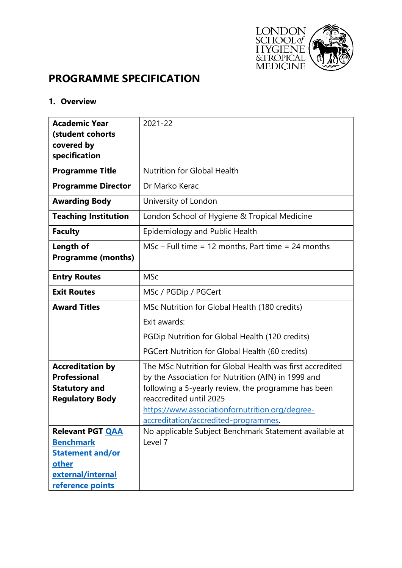

# **PROGRAMME SPECIFICATION**

#### **1. Overview**

| <b>Academic Year</b>        | $2021 - 22$                                                                                    |
|-----------------------------|------------------------------------------------------------------------------------------------|
| (student cohorts            |                                                                                                |
| covered by<br>specification |                                                                                                |
|                             |                                                                                                |
| <b>Programme Title</b>      | <b>Nutrition for Global Health</b>                                                             |
| <b>Programme Director</b>   | Dr Marko Kerac                                                                                 |
| <b>Awarding Body</b>        | University of London                                                                           |
| <b>Teaching Institution</b> | London School of Hygiene & Tropical Medicine                                                   |
| <b>Faculty</b>              | Epidemiology and Public Health                                                                 |
| <b>Length of</b>            | $MSc$ – Full time = 12 months, Part time = 24 months                                           |
| <b>Programme (months)</b>   |                                                                                                |
| <b>Entry Routes</b>         | <b>MSc</b>                                                                                     |
| <b>Exit Routes</b>          | MSc / PGDip / PGCert                                                                           |
| <b>Award Titles</b>         | MSc Nutrition for Global Health (180 credits)                                                  |
|                             | Exit awards:                                                                                   |
|                             | PGDip Nutrition for Global Health (120 credits)                                                |
|                             | PGCert Nutrition for Global Health (60 credits)                                                |
| <b>Accreditation by</b>     | The MSc Nutrition for Global Health was first accredited                                       |
| <b>Professional</b>         | by the Association for Nutrition (AfN) in 1999 and                                             |
| <b>Statutory and</b>        | following a 5-yearly review, the programme has been                                            |
| <b>Regulatory Body</b>      | reaccredited until 2025                                                                        |
|                             | https://www.associationfornutrition.org/degree-                                                |
| <b>Relevant PGT QAA</b>     | accreditation/accredited-programmes.<br>No applicable Subject Benchmark Statement available at |
| <b>Benchmark</b>            | Level 7                                                                                        |
| <b>Statement and/or</b>     |                                                                                                |
| other                       |                                                                                                |
| external/internal           |                                                                                                |
| reference points            |                                                                                                |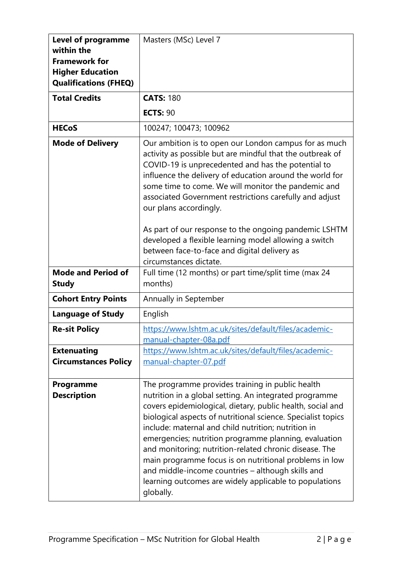| <b>Level of programme</b><br>within the<br><b>Framework for</b><br><b>Higher Education</b><br><b>Qualifications (FHEQ)</b> | Masters (MSc) Level 7                                                                                                                                                                                                                                                                                                                                                                                                                                                                                                                                                                                    |
|----------------------------------------------------------------------------------------------------------------------------|----------------------------------------------------------------------------------------------------------------------------------------------------------------------------------------------------------------------------------------------------------------------------------------------------------------------------------------------------------------------------------------------------------------------------------------------------------------------------------------------------------------------------------------------------------------------------------------------------------|
| <b>Total Credits</b>                                                                                                       | <b>CATS: 180</b>                                                                                                                                                                                                                                                                                                                                                                                                                                                                                                                                                                                         |
|                                                                                                                            | <b>ECTS: 90</b>                                                                                                                                                                                                                                                                                                                                                                                                                                                                                                                                                                                          |
| <b>HECoS</b>                                                                                                               | 100247; 100473; 100962                                                                                                                                                                                                                                                                                                                                                                                                                                                                                                                                                                                   |
| <b>Mode of Delivery</b>                                                                                                    | Our ambition is to open our London campus for as much<br>activity as possible but are mindful that the outbreak of<br>COVID-19 is unprecedented and has the potential to<br>influence the delivery of education around the world for<br>some time to come. We will monitor the pandemic and<br>associated Government restrictions carefully and adjust<br>our plans accordingly.                                                                                                                                                                                                                         |
|                                                                                                                            | As part of our response to the ongoing pandemic LSHTM<br>developed a flexible learning model allowing a switch<br>between face-to-face and digital delivery as<br>circumstances dictate.                                                                                                                                                                                                                                                                                                                                                                                                                 |
| <b>Mode and Period of</b><br><b>Study</b>                                                                                  | Full time (12 months) or part time/split time (max 24<br>months)                                                                                                                                                                                                                                                                                                                                                                                                                                                                                                                                         |
| <b>Cohort Entry Points</b>                                                                                                 | Annually in September                                                                                                                                                                                                                                                                                                                                                                                                                                                                                                                                                                                    |
| <b>Language of Study</b>                                                                                                   | English                                                                                                                                                                                                                                                                                                                                                                                                                                                                                                                                                                                                  |
| <b>Re-sit Policy</b>                                                                                                       | https://www.lshtm.ac.uk/sites/default/files/academic-<br>manual-chapter-08a.pdf                                                                                                                                                                                                                                                                                                                                                                                                                                                                                                                          |
| <b>Extenuating</b><br><b>Circumstances Policy</b>                                                                          | https://www.lshtm.ac.uk/sites/default/files/academic-<br>manual-chapter-07.pdf                                                                                                                                                                                                                                                                                                                                                                                                                                                                                                                           |
| Programme<br><b>Description</b>                                                                                            | The programme provides training in public health<br>nutrition in a global setting. An integrated programme<br>covers epidemiological, dietary, public health, social and<br>biological aspects of nutritional science. Specialist topics<br>include: maternal and child nutrition; nutrition in<br>emergencies; nutrition programme planning, evaluation<br>and monitoring; nutrition-related chronic disease. The<br>main programme focus is on nutritional problems in low<br>and middle-income countries - although skills and<br>learning outcomes are widely applicable to populations<br>globally. |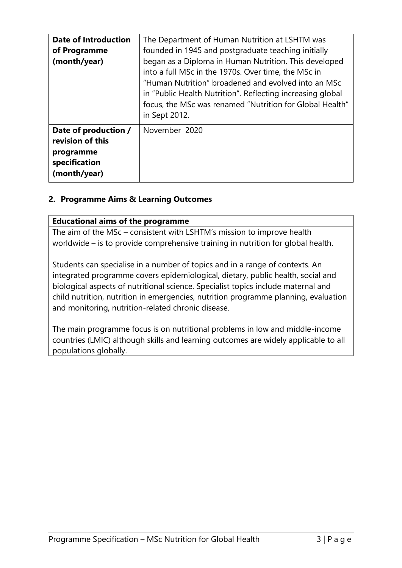| <b>Date of Introduction</b><br>of Programme<br>(month/year)                            | The Department of Human Nutrition at LSHTM was<br>founded in 1945 and postgraduate teaching initially<br>began as a Diploma in Human Nutrition. This developed<br>into a full MSc in the 1970s. Over time, the MSc in<br>"Human Nutrition" broadened and evolved into an MSc<br>in "Public Health Nutrition". Reflecting increasing global<br>focus, the MSc was renamed "Nutrition for Global Health"<br>in Sept 2012. |
|----------------------------------------------------------------------------------------|-------------------------------------------------------------------------------------------------------------------------------------------------------------------------------------------------------------------------------------------------------------------------------------------------------------------------------------------------------------------------------------------------------------------------|
| Date of production /<br>revision of this<br>programme<br>specification<br>(month/year) | November 2020                                                                                                                                                                                                                                                                                                                                                                                                           |

# **2. Programme Aims & Learning Outcomes**

#### **Educational aims of the programme**

The aim of the MSc – consistent with LSHTM's mission to improve health worldwide – is to provide comprehensive training in nutrition for global health.

Students can specialise in a number of topics and in a range of contexts. An integrated programme covers epidemiological, dietary, public health, social and biological aspects of nutritional science. Specialist topics include maternal and child nutrition, nutrition in emergencies, nutrition programme planning, evaluation and monitoring, nutrition-related chronic disease.

The main programme focus is on nutritional problems in low and middle-income countries (LMIC) although skills and learning outcomes are widely applicable to all populations globally.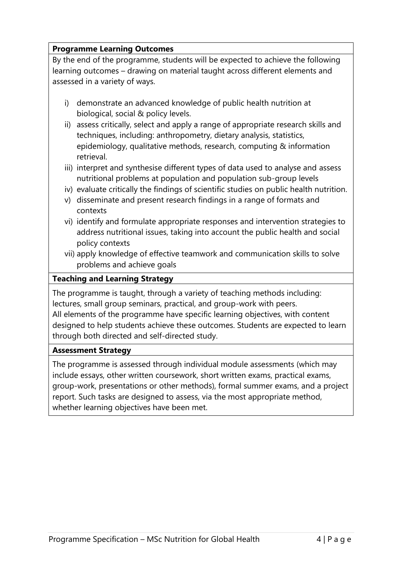# **Programme Learning Outcomes**

By the end of the programme, students will be expected to achieve the following learning outcomes – drawing on material taught across different elements and assessed in a variety of ways.

- i) demonstrate an advanced knowledge of public health nutrition at biological, social & policy levels.
- ii) assess critically, select and apply a range of appropriate research skills and techniques, including: anthropometry, dietary analysis, statistics, epidemiology, qualitative methods, research, computing & information retrieval.
- iii) interpret and synthesise different types of data used to analyse and assess nutritional problems at population and population sub-group levels
- iv) evaluate critically the findings of scientific studies on public health nutrition.
- v) disseminate and present research findings in a range of formats and contexts
- vi) identify and formulate appropriate responses and intervention strategies to address nutritional issues, taking into account the public health and social policy contexts
- vii) apply knowledge of effective teamwork and communication skills to solve problems and achieve goals

# **Teaching and Learning Strategy**

The programme is taught, through a variety of teaching methods including: lectures, small group seminars, practical, and group-work with peers. All elements of the programme have specific learning objectives, with content designed to help students achieve these outcomes. Students are expected to learn through both directed and self-directed study.

# **Assessment Strategy**

The programme is assessed through individual module assessments (which may include essays, other written coursework, short written exams, practical exams, group-work, presentations or other methods), formal summer exams, and a project report. Such tasks are designed to assess, via the most appropriate method, whether learning objectives have been met.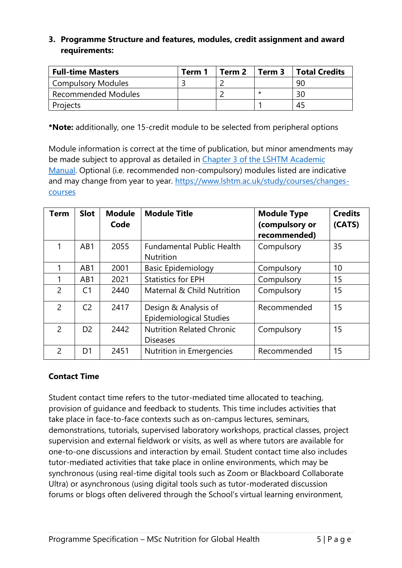### **3. Programme Structure and features, modules, credit assignment and award requirements:**

| <b>Full-time Masters</b>   | Term 1 | Term 2 | Term 3 | Total Credits |  |
|----------------------------|--------|--------|--------|---------------|--|
| <b>Compulsory Modules</b>  |        |        |        | 90            |  |
| <b>Recommended Modules</b> |        |        | *      | 30            |  |
| Projects                   |        |        |        | 45            |  |

**\*Note:** additionally, one 15-credit module to be selected from peripheral options

Module information is correct at the time of publication, but minor amendments may be made subject to approval as detailed in Chapter 3 of the LSHTM Academic [Manual.](https://www.lshtm.ac.uk/sites/default/files/academic-manual-chapter-03.pdf) Optional (i.e. recommended non-compulsory) modules listed are indicative and may change from year to year. [https://www.lshtm.ac.uk/study/courses/changes](https://www.lshtm.ac.uk/study/courses/changes-courses)[courses](https://www.lshtm.ac.uk/study/courses/changes-courses)

| <b>Term</b>    | <b>Slot</b>    | <b>Module</b><br>Code | <b>Module Title</b>                                    | <b>Module Type</b><br>(compulsory or<br>recommended) | <b>Credits</b><br>(CATS) |
|----------------|----------------|-----------------------|--------------------------------------------------------|------------------------------------------------------|--------------------------|
| 1              | AB1            | 2055                  | <b>Fundamental Public Health</b><br><b>Nutrition</b>   | Compulsory                                           | 35                       |
|                | AB1            | 2001                  | <b>Basic Epidemiology</b>                              | Compulsory                                           | 10                       |
|                | AB1            | 2021                  | <b>Statistics for EPH</b>                              | Compulsory                                           | 15                       |
| 2              | C <sub>1</sub> | 2440                  | Maternal & Child Nutrition                             | Compulsory                                           | 15                       |
| 2              | C <sub>2</sub> | 2417                  | Design & Analysis of<br><b>Epidemiological Studies</b> | Recommended                                          | 15                       |
| $\overline{2}$ | D <sub>2</sub> | 2442                  | <b>Nutrition Related Chronic</b><br><b>Diseases</b>    | Compulsory                                           | 15                       |
| 2              | D <sub>1</sub> | 2451                  | Nutrition in Emergencies                               | Recommended                                          | 15                       |

# **Contact Time**

Student contact time refers to the tutor-mediated time allocated to teaching, provision of guidance and feedback to students. This time includes activities that take place in face-to-face contexts such as on-campus lectures, seminars, demonstrations, tutorials, supervised laboratory workshops, practical classes, project supervision and external fieldwork or visits, as well as where tutors are available for one-to-one discussions and interaction by email. Student contact time also includes tutor-mediated activities that take place in online environments, which may be synchronous (using real-time digital tools such as Zoom or Blackboard Collaborate Ultra) or asynchronous (using digital tools such as tutor-moderated discussion forums or blogs often delivered through the School's virtual learning environment,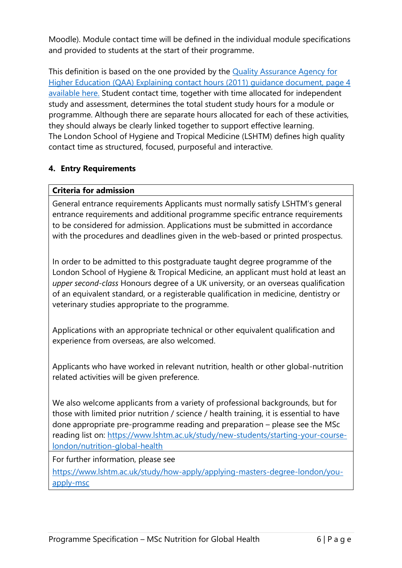Moodle). Module contact time will be defined in the individual module specifications and provided to students at the start of their programme.

This definition is based on the one provided by the [Quality Assurance Agency for](https://www.qaa.ac.uk/docs/qaa/quality-code/contact-hours-guidance.pdf)  [Higher Education \(QAA\) Explaining contact hours \(2011\)](https://www.qaa.ac.uk/docs/qaa/quality-code/contact-hours-guidance.pdf) guidance document, page 4 [available here.](https://www.qaa.ac.uk/docs/qaa/quality-code/contact-hours-guidance.pdf) Student contact time, together with time allocated for independent study and assessment, determines the total student study hours for a module or programme. Although there are separate hours allocated for each of these activities, they should always be clearly linked together to support effective learning. The London School of Hygiene and Tropical Medicine (LSHTM) defines high quality contact time as structured, focused, purposeful and interactive.

### **4. Entry Requirements**

### **Criteria for admission**

General entrance requirements Applicants must normally satisfy LSHTM's general entrance requirements and additional programme specific entrance requirements to be considered for admission. Applications must be submitted in accordance with the procedures and deadlines given in the web-based or printed prospectus.

In order to be admitted to this postgraduate taught degree programme of the London School of Hygiene & Tropical Medicine, an applicant must hold at least an *upper second-class* Honours degree of a UK university, or an overseas qualification of an equivalent standard, or a registerable qualification in medicine, dentistry or veterinary studies appropriate to the programme.

Applications with an appropriate technical or other equivalent qualification and experience from overseas, are also welcomed.

Applicants who have worked in relevant nutrition, health or other global-nutrition related activities will be given preference.

We also welcome applicants from a variety of professional backgrounds, but for those with limited prior nutrition / science / health training, it is essential to have done appropriate pre-programme reading and preparation – please see the MSc reading list on: [https://www.lshtm.ac.uk/study/new-students/starting-your-course](https://www.lshtm.ac.uk/study/new-students/starting-your-course-london/nutrition-global-health)[london/nutrition-global-health](https://www.lshtm.ac.uk/study/new-students/starting-your-course-london/nutrition-global-health) 

For further information, please see

[https://www.lshtm.ac.uk/study/how-apply/applying-masters-degree-london/you](https://www.lshtm.ac.uk/study/how-apply/applying-masters-degree-london/you-apply-msc)[apply-msc](https://www.lshtm.ac.uk/study/how-apply/applying-masters-degree-london/you-apply-msc)